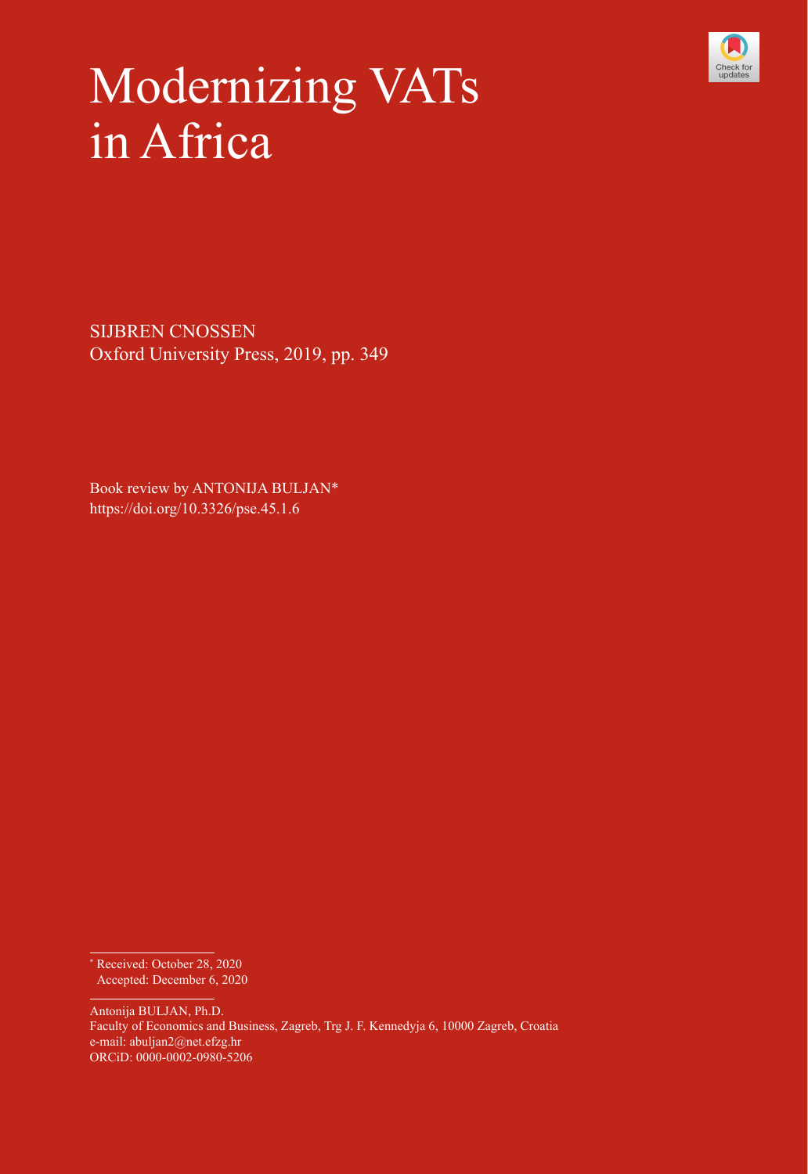

## Modernizing VATs in Africa

SIJBREN CNOSSEN Oxford University Press, 2019, pp. 349

Book review by ANTONIJA BULJAN\* https://doi.org/10.3326/pse.45.1.6

Antonija BULJAN, Ph.D. Faculty of Economics and Business, Zagreb, Trg J. F. Kennedyja 6, 10000 Zagreb, Croatia e-mail: [abuljan2@net.efzg.hr](mailto:abuljan2@net.efzg.hr) ORCiD: [0000-0002-0980-5206](https://orcid.org/0000-0002-0980-5206)

<sup>\*</sup> Received: October 28, 2020 Accepted: December 6, 2020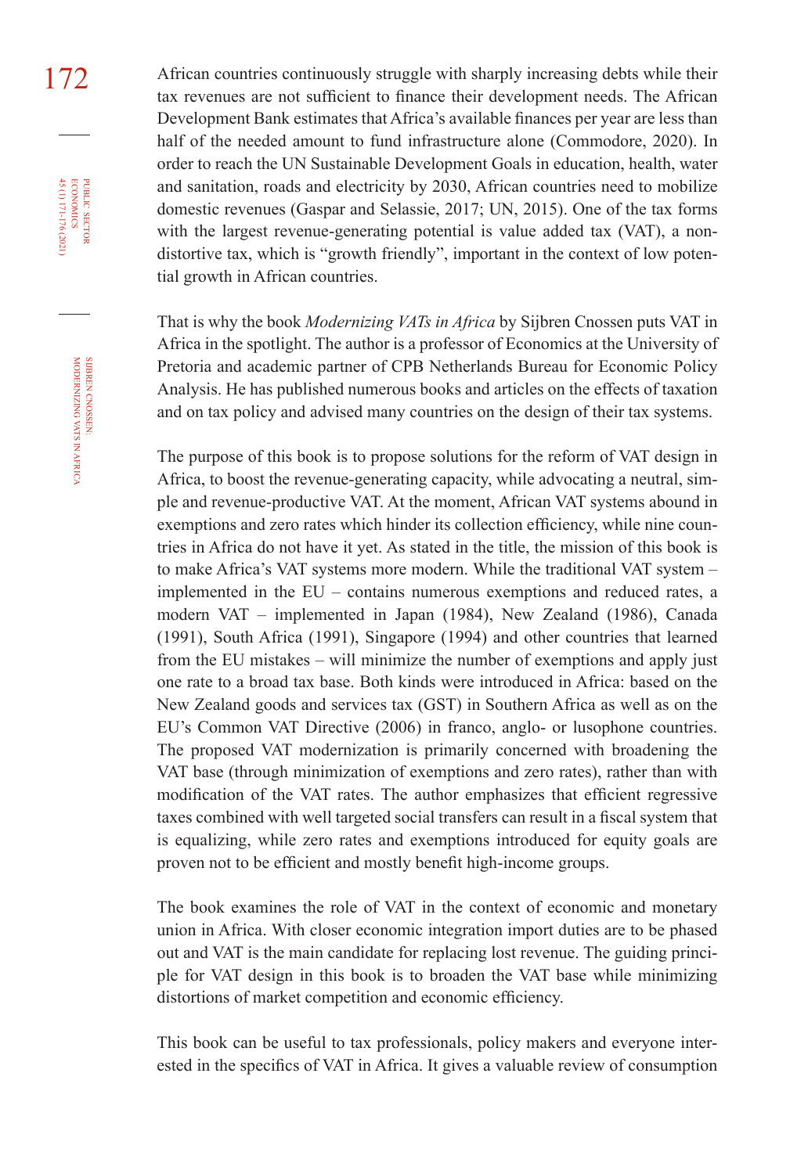172 African countries continuously struggle with sharply increasing debts while their tax revenues are not sufficient to finance their development needs. The African Development Bank estimates that Africa's available finances per year are less than half of the needed amount to fund infrastructure alone (Commodore, 2020). In order to reach the UN Sustainable Development Goals in education, health, water and sanitation, roads and electricity by 2030, African countries need to mobilize domestic revenues (Gaspar and Selassie, 2017; UN, 2015). One of the tax forms with the largest revenue-generating potential is value added tax (VAT), a nondistortive tax, which is "growth friendly", important in the context of low potential growth in African countries.

> That is why the book *Modernizing VATs in Africa* by Sijbren Cnossen puts VAT in Africa in the spotlight. The author is a professor of Economics at the University of Pretoria and academic partner of CPB Netherlands Bureau for Economic Policy Analysis. He has published numerous books and articles on the effects of taxation and on tax policy and advised many countries on the design of their tax systems.

> The purpose of this book is to propose solutions for the reform of VAT design in Africa, to boost the revenue-generating capacity, while advocating a neutral, simple and revenue-productive VAT. At the moment, African VAT systems abound in exemptions and zero rates which hinder its collection efficiency, while nine countries in Africa do not have it yet. As stated in the title, the mission of this book is to make Africa's VAT systems more modern. While the traditional VAT system – implemented in the EU – contains numerous exemptions and reduced rates, a modern VAT – implemented in Japan (1984), New Zealand (1986), Canada (1991), South Africa (1991), Singapore (1994) and other countries that learned from the EU mistakes – will minimize the number of exemptions and apply just one rate to a broad tax base. Both kinds were introduced in Africa: based on the New Zealand goods and services tax (GST) in Southern Africa as well as on the EU's Common VAT Directive (2006) in franco, anglo- or lusophone countries. The proposed VAT modernization is primarily concerned with broadening the VAT base (through minimization of exemptions and zero rates), rather than with modification of the VAT rates. The author emphasizes that efficient regressive taxes combined with well targeted social transfers can result in a fiscal system that is equalizing, while zero rates and exemptions introduced for equity goals are proven not to be efficient and mostly benefit high-income groups.

> The book examines the role of VAT in the context of economic and monetary union in Africa. With closer economic integration import duties are to be phased out and VAT is the main candidate for replacing lost revenue. The guiding principle for VAT design in this book is to broaden the VAT base while minimizing distortions of market competition and economic efficiency.

> This book can be useful to tax professionals, policy makers and everyone interested in the specifics of VAT in Africa. It gives a valuable review of consumption

45 (1) 171-176 (2021) economics

**PUBLIC SECTOR<br>ECONOMICS**<br>45 (1) 171-176 (2021)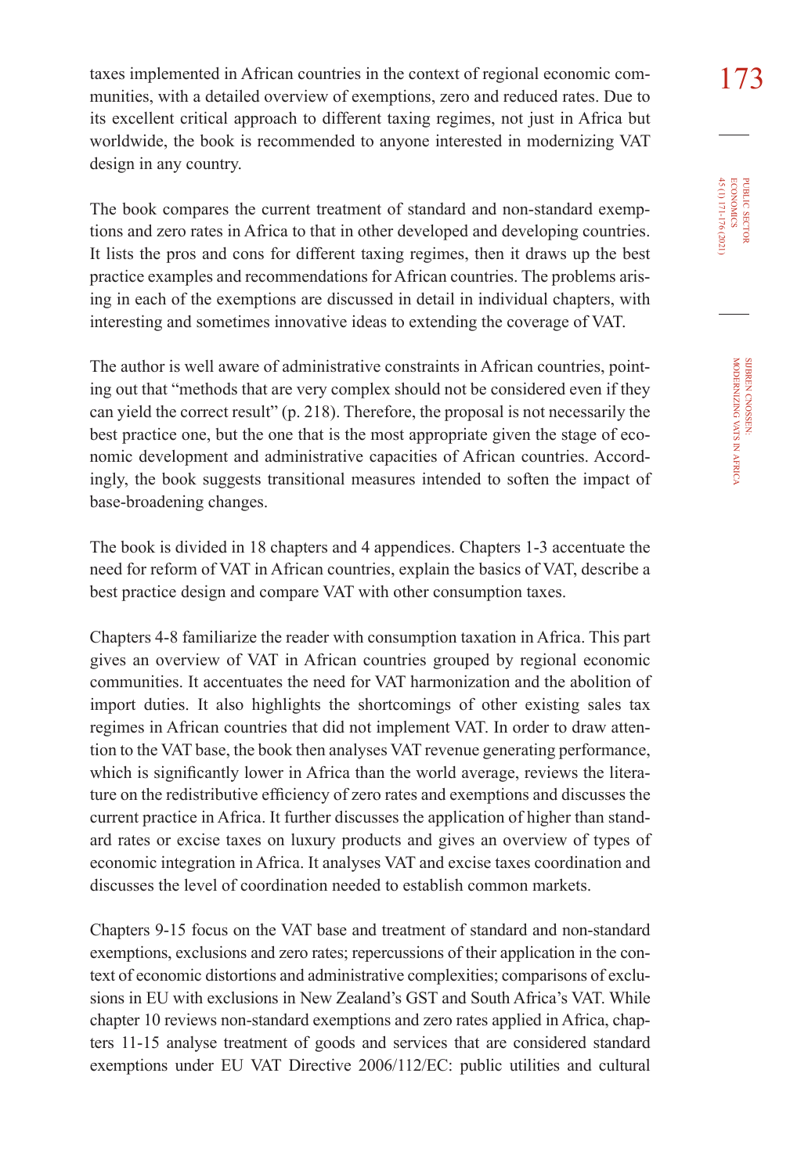taxes implemented in African countries in the context of regional economic com-<br>173 munities, with a detailed overview of exemptions, zero and reduced rates. Due to its excellent critical approach to different taxing regimes, not just in Africa but worldwide, the book is recommended to anyone interested in modernizing VAT design in any country.

The book compares the current treatment of standard and non-standard exemptions and zero rates in Africa to that in other developed and developing countries. It lists the pros and cons for different taxing regimes, then it draws up the best practice examples and recommendations for African countries. The problems arising in each of the exemptions are discussed in detail in individual chapters, with interesting and sometimes innovative ideas to extending the coverage of VAT.

The author is well aware of administrative constraints in African countries, pointing out that "methods that are very complex should not be considered even if they can yield the correct result" (p. 218). Therefore, the proposal is not necessarily the best practice one, but the one that is the most appropriate given the stage of economic development and administrative capacities of African countries. Accordingly, the book suggests transitional measures intended to soften the impact of base-broadening changes.

The book is divided in 18 chapters and 4 appendices. Chapters 1-3 accentuate the need for reform of VAT in African countries, explain the basics of VAT, describe a best practice design and compare VAT with other consumption taxes.

Chapters 4-8 familiarize the reader with consumption taxation in Africa. This part gives an overview of VAT in African countries grouped by regional economic communities. It accentuates the need for VAT harmonization and the abolition of import duties. It also highlights the shortcomings of other existing sales tax regimes in African countries that did not implement VAT. In order to draw attention to the VAT base, the book then analyses VAT revenue generating performance, which is significantly lower in Africa than the world average, reviews the literature on the redistributive efficiency of zero rates and exemptions and discusses the current practice in Africa. It further discusses the application of higher than standard rates or excise taxes on luxury products and gives an overview of types of economic integration in Africa. It analyses VAT and excise taxes coordination and discusses the level of coordination needed to establish common markets.

Chapters 9-15 focus on the VAT base and treatment of standard and non-standard exemptions, exclusions and zero rates; repercussions of their application in the context of economic distortions and administrative complexities; comparisons of exclusions in EU with exclusions in New Zealand's GST and South Africa's VAT. While chapter 10 reviews non-standard exemptions and zero rates applied in Africa, chapters 11-15 analyse treatment of goods and services that are considered standard exemptions under EU VAT Directive 2006/112/EC: public utilities and cultural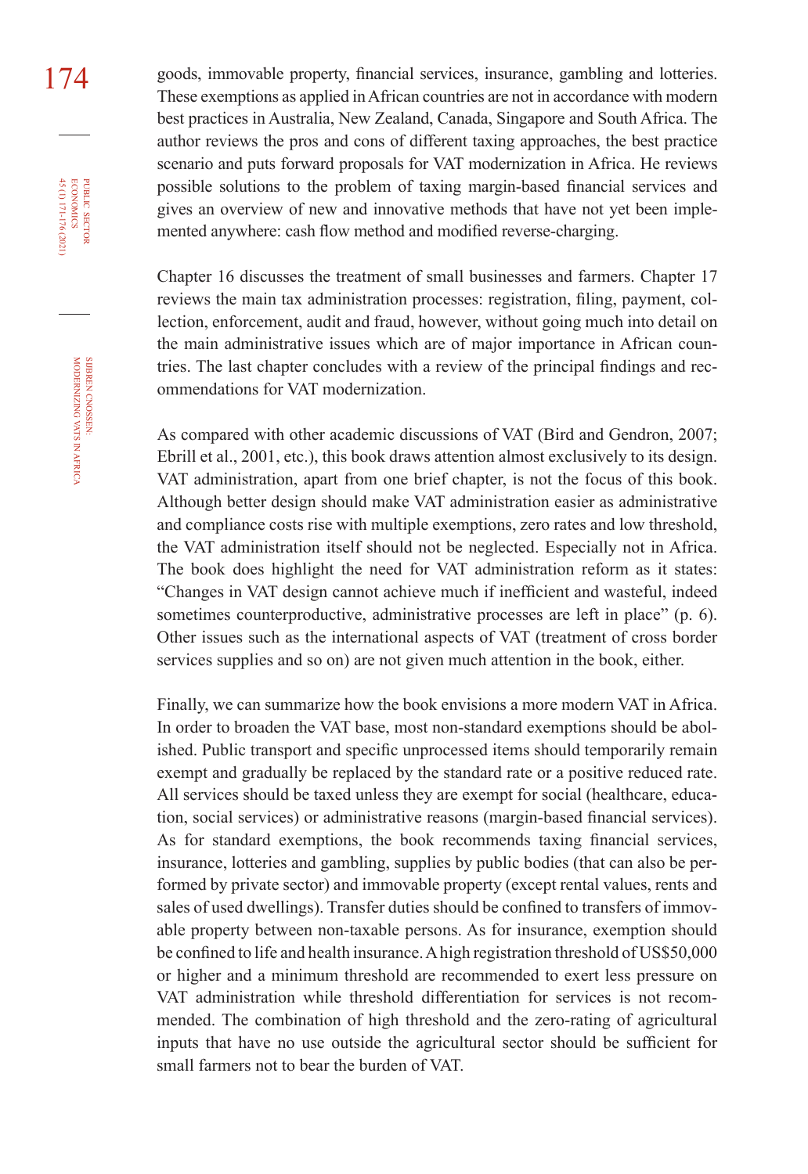174 goods, immovable property, financial services, insurance, gambling and lotteries. These exemptions as applied inAfrican countries are not in accordance with modern best practices in Australia, New Zealand, Canada, Singapore and South Africa. The author reviews the pros and cons of different taxing approaches, the best practice scenario and puts forward proposals for VAT modernization in Africa. He reviews possible solutions to the problem of taxing margin-based financial services and gives an overview of new and innovative methods that have not yet been implemented anywhere: cash flow method and modified reverse-charging.

> Chapter 16 discusses the treatment of small businesses and farmers. Chapter 17 reviews the main tax administration processes: registration, filing, payment, collection, enforcement, audit and fraud, however, without going much into detail on the main administrative issues which are of major importance in African countries. The last chapter concludes with a review of the principal findings and recommendations for VAT modernization.

> As compared with other academic discussions of VAT (Bird and Gendron, 2007; Ebrill et al., 2001, etc.), this book draws attention almost exclusively to its design. VAT administration, apart from one brief chapter, is not the focus of this book. Although better design should make VAT administration easier as administrative and compliance costs rise with multiple exemptions, zero rates and low threshold, the VAT administration itself should not be neglected. Especially not in Africa. The book does highlight the need for VAT administration reform as it states: "Changes in VAT design cannot achieve much if inefficient and wasteful, indeed sometimes counterproductive, administrative processes are left in place" (p. 6). Other issues such as the international aspects of VAT (treatment of cross border services supplies and so on) are not given much attention in the book, either.

> Finally, we can summarize how the book envisions a more modern VAT in Africa. In order to broaden the VAT base, most non-standard exemptions should be abolished. Public transport and specific unprocessed items should temporarily remain exempt and gradually be replaced by the standard rate or a positive reduced rate. All services should be taxed unless they are exempt for social (healthcare, education, social services) or administrative reasons (margin-based financial services). As for standard exemptions, the book recommends taxing financial services, insurance, lotteries and gambling, supplies by public bodies (that can also be performed by private sector) and immovable property (except rental values, rents and sales of used dwellings). Transfer duties should be confined to transfers of immovable property between non-taxable persons. As for insurance, exemption should be confined to life and health insurance.Ahigh registration threshold of US\$50,000 or higher and a minimum threshold are recommended to exert less pressure on VAT administration while threshold differentiation for services is not recommended. The combination of high threshold and the zero-rating of agricultural inputs that have no use outside the agricultural sector should be sufficient for small farmers not to bear the burden of VAT.

45 (1) 171-176 (2021) economics

**PUBLIC SECTOR<br>ECONOMICS**<br>45 (1) 171-176 (2021)